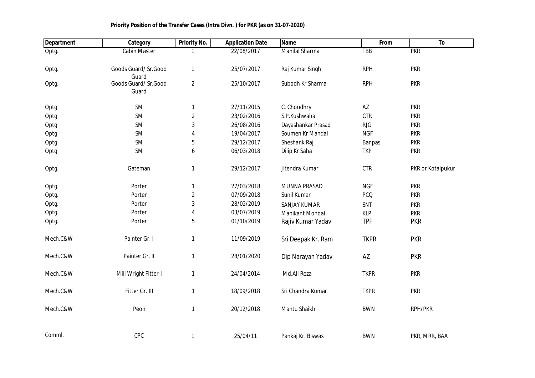| <b>Department</b> | Category                      | <b>Priority No.</b> | <b>Application Date</b> | <b>Name</b>         | From        | To                |
|-------------------|-------------------------------|---------------------|-------------------------|---------------------|-------------|-------------------|
| Optg.             | <b>Cabin Master</b>           |                     | 22/08/2017              | Manilal Sharma      | <b>TBB</b>  | <b>PKR</b>        |
| Optg.             | Goods Guard/ Sr.Good<br>Guard | $\mathbf{1}$        | 25/07/2017              | Raj Kumar Singh     | <b>RPH</b>  | <b>PKR</b>        |
| Optg.             | Goods Guard/ Sr.Good<br>Guard | $\overline{2}$      | 25/10/2017              | Subodh Kr Sharma    | <b>RPH</b>  | <b>PKR</b>        |
| Optg              | <b>SM</b>                     | 1                   | 27/11/2015              | C. Choudhry         | AZ          | <b>PKR</b>        |
| Optg              | <b>SM</b>                     | $\overline{2}$      | 23/02/2016              | S.P.Kushwaha        | <b>CTR</b>  | <b>PKR</b>        |
| Optg              | <b>SM</b>                     | $\mathfrak{Z}$      | 26/08/2016              | Dayashankar Prasad  | <b>RJG</b>  | <b>PKR</b>        |
| Optg              | <b>SM</b>                     | 4                   | 19/04/2017              | Soumen Kr Mandal    | <b>NGF</b>  | <b>PKR</b>        |
| Optg              | <b>SM</b>                     | 5                   | 29/12/2017              | Sheshank Raj        | Banpas      | <b>PKR</b>        |
| Optg              | SM                            | 6                   | 06/03/2018              | Dilip Kr Saha       | <b>TKP</b>  | <b>PKR</b>        |
| Optg.             | Gateman                       | $\mathbf{1}$        | 29/12/2017              | Jitendra Kumar      | <b>CTR</b>  | PKR or Kotalpukur |
| Optg.             | Porter                        | $\mathbf{1}$        | 27/03/2018              | MUNNA PRASAD        | <b>NGF</b>  | <b>PKR</b>        |
| Optg.             | Porter                        | $\overline{c}$      | 07/09/2018              | Sunil Kumar         | <b>PCQ</b>  | <b>PKR</b>        |
| Optg.             | Porter                        | 3                   | 28/02/2019              | <b>SANJAY KUMAR</b> | SNT         | <b>PKR</b>        |
| Optg.             | Porter                        | 4                   | 03/07/2019              | Manikant Mondal     | <b>KLP</b>  | <b>PKR</b>        |
| Optg.             | Porter                        | 5                   | 01/10/2019              | Rajiv Kumar Yadav   | <b>TPF</b>  | <b>PKR</b>        |
| Mech.C&W          | Painter Gr. I                 | $\mathbf{1}$        | 11/09/2019              | Sri Deepak Kr. Ram  | <b>TKPR</b> | <b>PKR</b>        |
| Mech.C&W          | Painter Gr. II                | $\mathbf{1}$        | 28/01/2020              | Dip Narayan Yadav   | AZ          | <b>PKR</b>        |
| Mech.C&W          | Mill Wright Fitter-I          | $\mathbf{1}$        | 24/04/2014              | Md.Ali Reza         | <b>TKPR</b> | <b>PKR</b>        |
| Mech.C&W          | Fitter Gr. III                | $\mathbf{1}$        | 18/09/2018              | Sri Chandra Kumar   | <b>TKPR</b> | <b>PKR</b>        |
| Mech.C&W          | Peon                          | $\mathbf{1}$        | 20/12/2018              | Mantu Shaikh        | <b>BWN</b>  | RPH/PKR           |
| Comml.            | CPC                           | $\mathbf{1}$        | 25/04/11                | Pankaj Kr. Biswas   | <b>BWN</b>  | PKR, MRR, BAA     |

## **Priority Position of the Transfer Cases (Intra Divn. ) for PKR (as on 31-07-2020)**